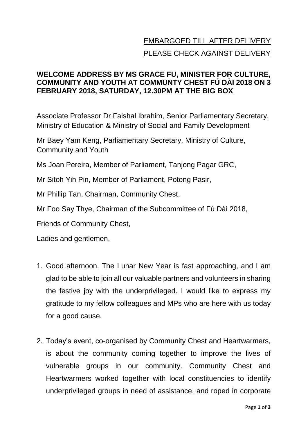## EMBARGOED TILL AFTER DELIVERY PLEASE CHECK AGAINST DELIVERY

## **WELCOME ADDRESS BY MS GRACE FU, MINISTER FOR CULTURE, COMMUNITY AND YOUTH AT COMMUNTY CHEST FÚ DÀI 2018 ON 3 FEBRUARY 2018, SATURDAY, 12.30PM AT THE BIG BOX**

Associate Professor Dr Faishal Ibrahim, Senior Parliamentary Secretary, Ministry of Education & Ministry of Social and Family Development

Mr Baey Yam Keng, Parliamentary Secretary, Ministry of Culture, Community and Youth

Ms Joan Pereira, Member of Parliament, Tanjong Pagar GRC,

Mr Sitoh Yih Pin, Member of Parliament, Potong Pasir,

Mr Phillip Tan, Chairman, Community Chest,

Mr Foo Say Thye, Chairman of the Subcommittee of Fú Dài 2018,

Friends of Community Chest,

Ladies and gentlemen,

- 1. Good afternoon. The Lunar New Year is fast approaching, and I am glad to be able to join all our valuable partners and volunteers in sharing the festive joy with the underprivileged. I would like to express my gratitude to my fellow colleagues and MPs who are here with us today for a good cause.
- 2. Today's event, co-organised by Community Chest and Heartwarmers, is about the community coming together to improve the lives of vulnerable groups in our community. Community Chest and Heartwarmers worked together with local constituencies to identify underprivileged groups in need of assistance, and roped in corporate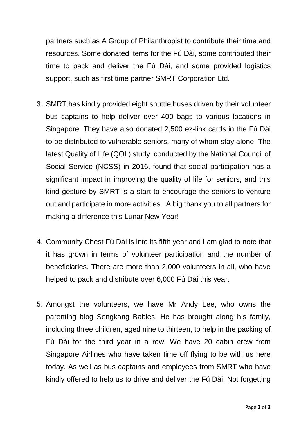partners such as A Group of Philanthropist to contribute their time and resources. Some donated items for the Fú Dài, some contributed their time to pack and deliver the Fú Dài, and some provided logistics support, such as first time partner SMRT Corporation Ltd.

- 3. SMRT has kindly provided eight shuttle buses driven by their volunteer bus captains to help deliver over 400 bags to various locations in Singapore. They have also donated 2,500 ez-link cards in the Fú Dài to be distributed to vulnerable seniors, many of whom stay alone. The latest Quality of Life (QOL) study, conducted by the National Council of Social Service (NCSS) in 2016, found that social participation has a significant impact in improving the quality of life for seniors, and this kind gesture by SMRT is a start to encourage the seniors to venture out and participate in more activities. A big thank you to all partners for making a difference this Lunar New Year!
- 4. Community Chest Fú Dài is into its fifth year and I am glad to note that it has grown in terms of volunteer participation and the number of beneficiaries. There are more than 2,000 volunteers in all, who have helped to pack and distribute over 6,000 Fú Dài this year.
- 5. Amongst the volunteers, we have Mr Andy Lee, who owns the parenting blog Sengkang Babies. He has brought along his family, including three children, aged nine to thirteen, to help in the packing of Fú Dài for the third year in a row. We have 20 cabin crew from Singapore Airlines who have taken time off flying to be with us here today. As well as bus captains and employees from SMRT who have kindly offered to help us to drive and deliver the Fú Dài. Not forgetting